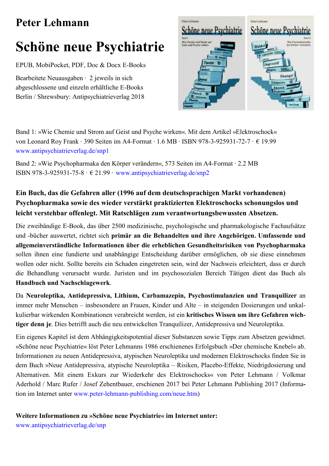## **Peter Lehmann**

# **Schöne neue Psychiatrie**

EPUB, MobiPocket, PDF, Doc & Docx E-Books

Bearbeitete Neuausgaben · 2 jeweils in sich abgeschlossene und einzeln erhältliche E-Books Berlin / Shrewsbury: Antipsychiatrieverlag 2018



Band 1: »Wie Chemie und Strom auf Geist und Psyche wirken«. Mit dem Artikel »Elektroschock« von Leonard Roy Frank · 390 Seiten im A4-Format · 1.6 MB · ISBN 978-3-925931-72-7 · € 19.99 www.antipsychiatrieverlag.de/snp1

Band 2: »Wie Psychopharmaka den Körper verändern«, 573 Seiten im A4-Format · 2.2 MB ISBN 978-3-925931-75-8  $\cdot \in 21.99 \cdot$  www.antipsychiatrieverlag.de/snp2

### Ein Buch, das die Gefahren aller (1996 auf dem deutschsprachigen Markt vorhandenen) Psychopharmaka sowie des wieder verstärkt praktizierten Elektroschocks schonungslos und leicht verstehbar offenlegt. Mit Ratschlägen zum verantwortungsbewussten Absetzen.

Die zweibändige E-Book, das über 2500 medizinische, psychologische und pharmakologische Fachaufsätze und -bücher auswertet, richtet sich primär an die Behandelten und ihre Angehörigen. Umfassende und allgemeinverständliche Informationen über die erheblichen Gesundheitsrisiken von Psychopharmaka sollen ihnen eine fundierte und unabhängige Entscheidung darüber ermöglichen, ob sie diese einnehmen wollen oder nicht. Sollte bereits ein Schaden eingetreten sein, wird der Nachweis erleichtert, dass er durch die Behandlung verursacht wurde. Juristen und im psychosozialen Bereich Tätigen dient das Buch als Handbuch und Nachschlagewerk.

Da Neuroleptika, Antidepressiva, Lithium, Carbamazepin, Psychostimulanzien und Tranquilizer an immer mehr Menschen – insbesondere an Frauen, Kinder und Alte – in steigenden Dosierungen und unkalkulierbar wirkenden Kombinationen verabreicht werden, ist ein kritisches Wissen um ihre Gefahren wichtiger denn je. Dies betrifft auch die neu entwickelten Tranquilizer, Antidepressiva und Neuroleptika.

Ein eigenes Kapitel ist dem Abhängigkeitspotential dieser Substanzen sowie Tipps zum Absetzen gewidmet. »Schöne neue Psychiatrie« löst Peter Lehmanns 1986 erschienenes Erfolgsbuch »Der chemische Knebel« ab. Informationen zu neuen Antidepressiva, atypischen Neuroleptika und modernen Elektroschocks finden Sie in dem Buch »Neue Antidepressiva, atypische Neuroleptika – Risiken, Placebo-Effekte, Niedrigdosierung und Alternativen. Mit einem Exkurs zur Wiederkehr des Elektroschocks« von Peter Lehmann / Volkmar Aderhold / Marc Rufer / Josef Zehentbauer, erschienen 2017 bei Peter Lehmann Publishing 2017 (Information im Internet unter www.peter-lehmann-publishing.com/neue.htm)

#### Weitere Informationen zu »Schöne neue Psychiatrie« im Internet unter:

www.antipsychiatrieverlag.de/snp